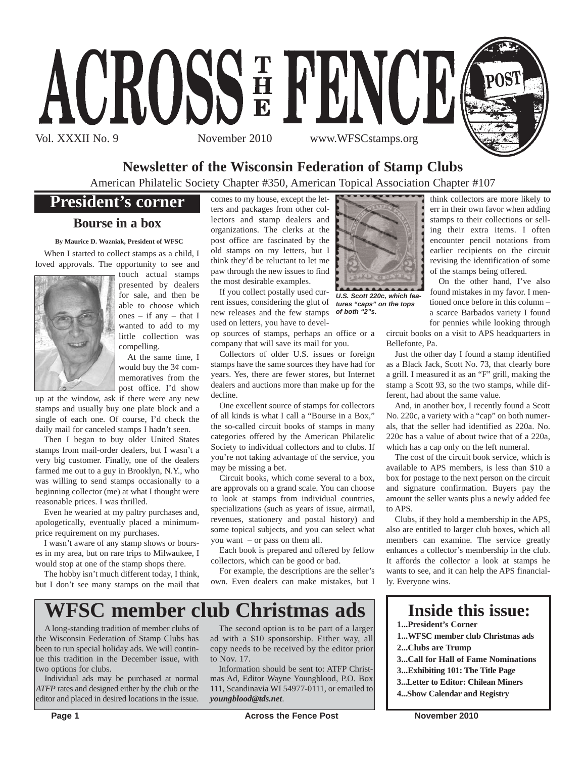

## **Newsletter of the Wisconsin Federation of Stamp Clubs**

American Philatelic Society Chapter #350, American Topical Association Chapter #107

## **President's corner**

### **Bourse in a box**

**By Maurice D. Wozniak, President of WFSC**

When I started to collect stamps as a child, I loved approvals. The opportunity to see and



touch actual stamps presented by dealers for sale, and then be able to choose which ones – if any – that I wanted to add to my little collection was compelling.

At the same time, I would buy the  $3¢$  commemoratives from the post office. I'd show

up at the window, ask if there were any new stamps and usually buy one plate block and a single of each one. Of course, I'd check the daily mail for canceled stamps I hadn't seen.

Then I began to buy older United States stamps from mail-order dealers, but I wasn't a very big customer. Finally, one of the dealers farmed me out to a guy in Brooklyn, N.Y., who was willing to send stamps occasionally to a beginning collector (me) at what I thought were reasonable prices. I was thrilled.

Even he wearied at my paltry purchases and, apologetically, eventually placed a minimumprice requirement on my purchases.

I wasn't aware of any stamp shows or bourses in my area, but on rare trips to Milwaukee, I would stop at one of the stamp shops there.

The hobby isn't much different today, I think, but I don't see many stamps on the mail that comes to my house, except the letters and packages from other collectors and stamp dealers and organizations. The clerks at the post office are fascinated by the old stamps on my letters, but I think they'd be reluctant to let me paw through the new issues to find the most desirable examples.

If you collect postally used current issues, considering the glut of new releases and the few stamps *of both "2"s.*used on letters, you have to develop sources of stamps, perhaps an office or a company that will save its mail for you.

Collectors of older U.S. issues or foreign stamps have the same sources they have had for years. Yes, there are fewer stores, but Internet dealers and auctions more than make up for the decline.

One excellent source of stamps for collectors of all kinds is what I call a "Bourse in a Box," the so-called circuit books of stamps in many categories offered by the American Philatelic Society to individual collectors and to clubs. If you're not taking advantage of the service, you may be missing a bet.

Circuit books, which come several to a box, are approvals on a grand scale. You can choose to look at stamps from individual countries, specializations (such as years of issue, airmail, revenues, stationery and postal history) and some topical subjects, and you can select what you want – or pass on them all.

Each book is prepared and offered by fellow collectors, which can be good or bad.

For example, the descriptions are the seller's own. Even dealers can make mistakes, but I



*U.S. Scott 220c, which features "caps" on the tops*

think collectors are more likely to err in their own favor when adding stamps to their collections or selling their extra items. I often encounter pencil notations from earlier recipients on the circuit revising the identification of some of the stamps being offered.

On the other hand, I've also found mistakes in my favor. I mentioned once before in this column – a scarce Barbados variety I found for pennies while looking through

circuit books on a visit to APS headquarters in Bellefonte, Pa.

Just the other day I found a stamp identified as a Black Jack, Scott No. 73, that clearly bore a grill. I measured it as an "F" grill, making the stamp a Scott 93, so the two stamps, while different, had about the same value.

And, in another box, I recently found a Scott No. 220c, a variety with a "cap" on both numerals, that the seller had identified as 220a. No. 220c has a value of about twice that of a 220a, which has a cap only on the left numeral.

The cost of the circuit book service, which is available to APS members, is less than \$10 a box for postage to the next person on the circuit and signature confirmation. Buyers pay the amount the seller wants plus a newly added fee to APS.

Clubs, if they hold a membership in the APS, also are entitled to larger club boxes, which all members can examine. The service greatly enhances a collector's membership in the club. It affords the collector a look at stamps he wants to see, and it can help the APS financially. Everyone wins.

## **WFSC member club Christmas ads**

A long-standing tradition of member clubs of the Wisconsin Federation of Stamp Clubs has been to run special holiday ads. We will continue this tradition in the December issue, with two options for clubs.

Individual ads may be purchased at normal *ATFP* rates and designed either by the club or the editor and placed in desired locations in the issue.

The second option is to be part of a larger ad with a \$10 sponsorship. Either way, all copy needs to be received by the editor prior to Nov. 17.

Information should be sent to: ATFP Christmas Ad, Editor Wayne Youngblood, P.O. Box 111, Scandinavia WI 54977-0111, or emailed to *youngblood@tds.net*.

**Inside this issue:**

- **1...President's Corner**
- **1...WFSC member club Christmas ads**
- **2...Clubs are Trump**
- **3...Call for Hall of Fame Nominations**
- **3...Exhibiting 101: The Title Page**
- **3...Letter to Editor: Chilean Miners**
- **4...Show Calendar and Registry**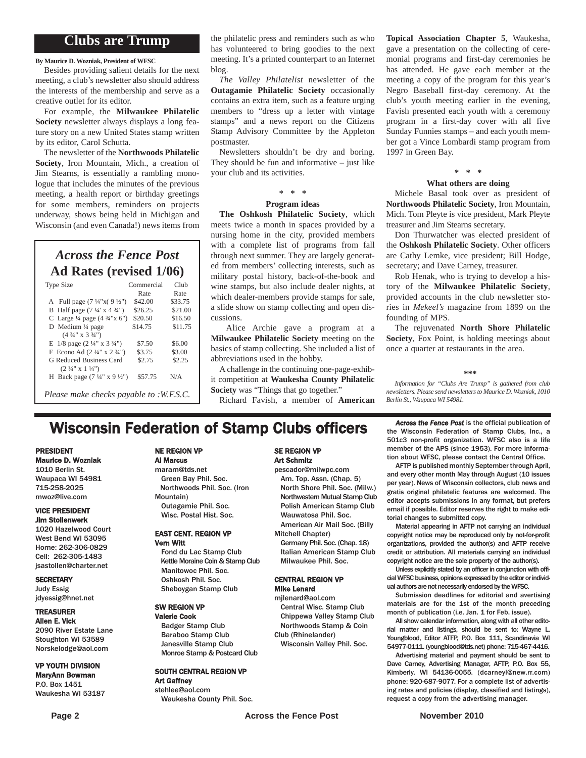### **Clubs are Trump**

**By Maurice D. Wozniak, President of WFSC**

Besides providing salient details for the next meeting, a club's newsletter also should address the interests of the membership and serve as a creative outlet for its editor.

For example, the **Milwaukee Philatelic Society** newsletter always displays a long feature story on a new United States stamp written by its editor, Carol Schutta.

The newsletter of the **Northwoods Philatelic Society**, Iron Mountain, Mich., a creation of Jim Stearns, is essentially a rambling monologue that includes the minutes of the previous meeting, a health report or birthday greetings for some members, reminders on projects underway, shows being held in Michigan and Wisconsin (and even Canada!) news items from

## *Across the Fence Post* **Ad Rates (revised 1/06)**

| <b>Type Size</b>                                   | Commercial<br>Rate | Club<br>Rate |
|----------------------------------------------------|--------------------|--------------|
|                                                    |                    |              |
| A Full page $(7\frac{1}{4}x(9\frac{1}{2}y))$       | \$42.00            | \$33.75      |
| B Half page $(7\frac{1}{4} \times 4\frac{3}{4})$   | \$26.25            | \$21.00      |
| C Large $\frac{1}{4}$ page $(4 \frac{3}{4} x 6)$   | \$20.50            | \$16.50      |
| D Medium $\frac{1}{4}$ page                        | \$14.75            | \$11.75      |
| $(4\frac{3}{4}$ " x 3 $\frac{3}{4}$ ")             |                    |              |
| E $1/8$ page $(2\frac{1}{4}$ " x $3\frac{3}{4}$ ") | \$7.50             | \$6.00       |
| F Econo Ad $(2\frac{1}{4}$ " x $2\frac{3}{4}$ ")   | \$3.75             | \$3.00       |
| G Reduced Business Card                            | \$2.75             | \$2.25       |
| $(2 \frac{1}{4}$ " x $1 \frac{1}{4}$ ")            |                    |              |
| H Back page $(7\frac{1}{4}$ " x 9 $\frac{1}{2}$ ") | \$57.75            | N/A          |
|                                                    |                    |              |
| Please make checks payable to :W.F.S.C.            |                    |              |

the philatelic press and reminders such as who has volunteered to bring goodies to the next meeting. It's a printed counterpart to an Internet blog.

*The Valley Philatelist* newsletter of the **Outagamie Philatelic Society** occasionally contains an extra item, such as a feature urging members to "dress up a letter with vintage stamps" and a news report on the Citizens Stamp Advisory Committee by the Appleton postmaster.

Newsletters shouldn't be dry and boring. They should be fun and informative – just like your club and its activities.

## **\* \* \***

#### **Program ideas**

**The Oshkosh Philatelic Society**, which meets twice a month in spaces provided by a nursing home in the city, provided members with a complete list of programs from fall through next summer. They are largely generated from members' collecting interests, such as military postal history, back-of-the-book and wine stamps, but also include dealer nights, at which dealer-members provide stamps for sale, a slide show on stamp collecting and open discussions.

Alice Archie gave a program at a **Milwaukee Philatelic Society** meeting on the basics of stamp collecting. She included a list of abbreviations used in the hobby.

A challenge in the continuing one-page-exhibit competition at **Waukesha County Philatelic Society** was "Things that go together."

Richard Favish, a member of **American**

**Topical Association Chapter 5**, Waukesha, gave a presentation on the collecting of ceremonial programs and first-day ceremonies he has attended. He gave each member at the meeting a copy of the program for this year's Negro Baseball first-day ceremony. At the club's youth meeting earlier in the evening, Favish presented each youth with a ceremony program in a first-day cover with all five Sunday Funnies stamps – and each youth member got a Vince Lombardi stamp program from 1997 in Green Bay.

#### **\* \* \***

#### **What others are doing**

Michele Basal took over as president of **Northwoods Philatelic Society**, Iron Mountain, Mich. Tom Pleyte is vice president, Mark Pleyte treasurer and Jim Stearns secretary.

Don Thurwatcher was elected president of the **Oshkosh Philatelic Society**. Other officers are Cathy Lemke, vice president; Bill Hodge, secretary; and Dave Carney, treasurer.

Rob Henak, who is trying to develop a history of the **Milwaukee Philatelic Society**, provided accounts in the club newsletter stories in *Mekeel's* magazine from 1899 on the founding of MPS.

The rejuvenated **North Shore Philatelic Society**, Fox Point, is holding meetings about once a quarter at restaurants in the area.

#### **\*\*\***

*Information for "Clubs Are Trump" is gathered from club newsletters. Please send newsletters to Maurice D. Wozniak, 1010 Berlin St., Waupaca WI 54981.*

## **Wisconsin Federation of Stamp Clubs officers** *Across the Fence Post* is the official publication of stamp Clubs, Inc., a

#### PRESIDENT Maurice D. Wozniak

1010 Berlin St. Waupaca WI 54981 715-258-2025 mwoz@live.com

#### VICE PRESIDENT Jim Stollenwerk

#### 1020 Hazelwood Court

West Bend WI 53095 Home: 262-306-0829 Cell: 262-305-1483 jsastollen@charter.net

#### **SECRETARY**

Judy Essig jdyessig@hnet.net

#### TREASURER

Allen E. Vick 2090 River Estate Lane Stoughton WI 53589 Norskelodge@aol.com

#### VP YOUTH DIVISION MaryAnn Bowman

P.O. Box 1451 Waukesha WI 53187

#### NE REGION VP

Al Marcus

maram@tds.net Green Bay Phil. Soc. Northwoods Phil. Soc. (Iron Mountain) Outagamie Phil. Soc. Wisc. Postal Hist. Soc.

#### EAST CENT. REGION VP Vern Witt

Fond du Lac Stamp Club Kettle Moraine Coin & Stamp Club Manitowoc Phil. Soc. Oshkosh Phil. Soc. Sheboygan Stamp Club

#### SW REGION VP Valerie Cook

Badger Stamp Club Baraboo Stamp Club Janesville Stamp Club Monroe Stamp & Postcard Club

#### SOUTH CENTRAL REGION VP Art Gaffney

stehlee@aol.com Waukesha County Phil. Soc.

#### SE REGION VP Art Schmitz

pescador@milwpc.com Am. Top. Assn. (Chap. 5) North Shore Phil. Soc. (Milw.) Northwestern Mutual Stamp Club Polish American Stamp Club Wauwatosa Phil. Soc. American Air Mail Soc. (Billy

Mitchell Chapter)

Germany Phil. Soc. (Chap. 18) Italian American Stamp Club Milwaukee Phil. Soc.

#### CENTRAL REGION VP Mike Lenard

mjlenard@aol.com Central Wisc. Stamp Club Chippewa Valley Stamp Club Northwoods Stamp & Coin Club (Rhinelander)

Wisconsin Valley Phil. Soc.

the Wisconsin Federation of Stamp Clubs, Inc., a 501c3 non-profit organization. WFSC also is a life member of the APS (since 1953). For more information about WFSC, please contact the Central Office.

AFTP is published monthly September through April, and every other month May through August (10 issues per year). News of Wisconsin collectors, club news and gratis original philatelic features are welcomed. The editor accepts submissions in any format, but prefers email if possible. Editor reserves the right to make editorial changes to submitted copy.

Material appearing in AFTP not carrying an individual copyright notice may be reproduced only by not-for-profit organizations, provided the author(s) and AFTP receive credit or attribution. All materials carrying an individual copyright notice are the sole property of the author(s).

Unless explicitly stated by an officer in conjunction with official WFSC business, opinions expressed by the editor or individual authors are not necessarily endorsed by the WFSC.

Submission deadlines for editorial and avertising materials are for the 1st of the month preceding month of publication (i.e. Jan. 1 for Feb. issue).

All show calendar information, along with all other editorial matter and listings, should be sent to: Wayne L. Youngblood, Editor ATFP, P.O. Box 111, Scandinavia WI 54977-0111. (youngblood@tds.net) phone: 715-467-4416.

Advertising material and payment should be sent to Dave Carney, Advertising Manager, AFTP, P.O. Box 55, Kimberly, WI 54136-0055. (dcarneyl@new.rr.com) phone: 920-687-9077. For a complete list of advertising rates and policies (display, classified and listings), request a copy from the advertising manager.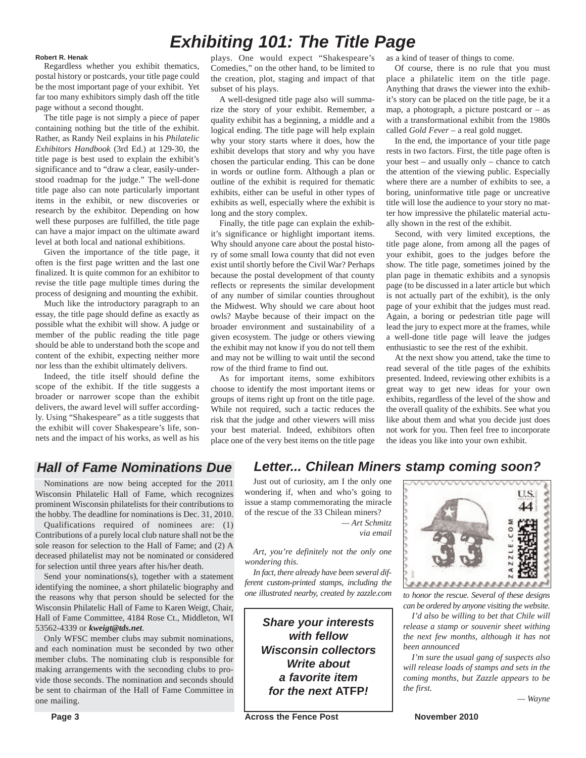## *Exhibiting 101: The Title Page*

#### **Robert R. Henak**

Regardless whether you exhibit thematics, postal history or postcards, your title page could be the most important page of your exhibit. Yet far too many exhibitors simply dash off the title page without a second thought.

The title page is not simply a piece of paper containing nothing but the title of the exhibit. Rather, as Randy Neil explains in his *Philatelic Exhibitors Handbook* (3rd Ed.) at 129-30, the title page is best used to explain the exhibit's significance and to "draw a clear, easily-understood roadmap for the judge." The well-done title page also can note particularly important items in the exhibit, or new discoveries or research by the exhibitor. Depending on how well these purposes are fulfilled, the title page can have a major impact on the ultimate award level at both local and national exhibitions.

Given the importance of the title page, it often is the first page written and the last one finalized. It is quite common for an exhibitor to revise the title page multiple times during the process of designing and mounting the exhibit.

Much like the introductory paragraph to an essay, the title page should define as exactly as possible what the exhibit will show. A judge or member of the public reading the title page should be able to understand both the scope and content of the exhibit, expecting neither more nor less than the exhibit ultimately delivers.

Indeed, the title itself should define the scope of the exhibit. If the title suggests a broader or narrower scope than the exhibit delivers, the award level will suffer accordingly. Using "Shakespeare" as a title suggests that the exhibit will cover Shakespeare's life, sonnets and the impact of his works, as well as his

plays. One would expect "Shakespeare's Comedies," on the other hand, to be limited to the creation, plot, staging and impact of that subset of his plays.

A well-designed title page also will summarize the story of your exhibit. Remember, a quality exhibit has a beginning, a middle and a logical ending. The title page will help explain why your story starts where it does, how the exhibit develops that story and why you have chosen the particular ending. This can be done in words or outline form. Although a plan or outline of the exhibit is required for thematic exhibits, either can be useful in other types of exhibits as well, especially where the exhibit is long and the story complex.

Finally, the title page can explain the exhibit's significance or highlight important items. Why should anyone care about the postal history of some small Iowa county that did not even exist until shortly before the Civil War? Perhaps because the postal development of that county reflects or represents the similar development of any number of similar counties throughout the Midwest. Why should we care about hoot owls? Maybe because of their impact on the broader environment and sustainability of a given ecosystem. The judge or others viewing the exhibit may not know if you do not tell them and may not be willing to wait until the second row of the third frame to find out.

As for important items, some exhibitors choose to identify the most important items or groups of items right up front on the title page. While not required, such a tactic reduces the risk that the judge and other viewers will miss your best material. Indeed, exhibitors often place one of the very best items on the title page

as a kind of teaser of things to come.

Of course, there is no rule that you must place a philatelic item on the title page. Anything that draws the viewer into the exhibit's story can be placed on the title page, be it a map, a photograph, a picture postcard or – as with a transformational exhibit from the 1980s called *Gold Fever* – a real gold nugget.

In the end, the importance of your title page rests in two factors. First, the title page often is your best – and usually only – chance to catch the attention of the viewing public. Especially where there are a number of exhibits to see, a boring, uninformative title page or uncreative title will lose the audience to your story no matter how impressive the philatelic material actually shown in the rest of the exhibit.

Second, with very limited exceptions, the title page alone, from among all the pages of your exhibit, goes to the judges before the show. The title page, sometimes joined by the plan page in thematic exhibits and a synopsis page (to be discussed in a later article but which is not actually part of the exhibit), is the only page of your exhibit that the judges must read. Again, a boring or pedestrian title page will lead the jury to expect more at the frames, while a well-done title page will leave the judges enthusiastic to see the rest of the exhibit.

At the next show you attend, take the time to read several of the title pages of the exhibits presented. Indeed, reviewing other exhibits is a great way to get new ideas for your own exhibits, regardless of the level of the show and the overall quality of the exhibits. See what you like about them and what you decide just does not work for you. Then feel free to incorporate the ideas you like into your own exhibit.

### *Hall of Fame Nominations Due*

Nominations are now being accepted for the 2011 Wisconsin Philatelic Hall of Fame, which recognizes prominent Wisconsin philatelists for their contributions to the hobby. The deadline for nominations is Dec. 31, 2010.

Qualifications required of nominees are: (1) Contributions of a purely local club nature shall not be the sole reason for selection to the Hall of Fame; and (2) A deceased philatelist may not be nominated or considered for selection until three years after his/her death.

Send your nominations(s), together with a statement identifying the nominee, a short philatelic biography and the reasons why that person should be selected for the Wisconsin Philatelic Hall of Fame to Karen Weigt, Chair, Hall of Fame Committee, 4184 Rose Ct., Middleton, WI 53562-4339 or *kweigt@tds.net*.

Only WFSC member clubs may submit nominations, and each nomination must be seconded by two other member clubs. The nominating club is responsible for making arrangements with the seconding clubs to provide those seconds. The nomination and seconds should be sent to chairman of the Hall of Fame Committee in one mailing.

*Letter... Chilean Miners stamp coming soon?*

Just out of curiosity, am I the only one wondering if, when and who's going to issue a stamp commemorating the miracle of the rescue of the 33 Chilean miners? *— Art Schmitz*

*via email*

*Art, you're definitely not the only one wondering this.*

*In fact, there already have been several different custom-printed stamps, including the*

> *Share your interests with fellow Wisconsin collectors Write about a favorite item for the next* **ATFP***!*



*one illustrated nearby, created by zazzle.com to honor the rescue. Several of these designs can be ordered by anyone visiting the website.*

> *I'd also be willing to bet that Chile will release a stamp or souvenir sheet withing the next few months, although it has not been announced*

> *I'm sure the usual gang of suspects also will release loads of stamps and sets in the coming months, but Zazzle appears to be the first.*

> > *— Wayne*